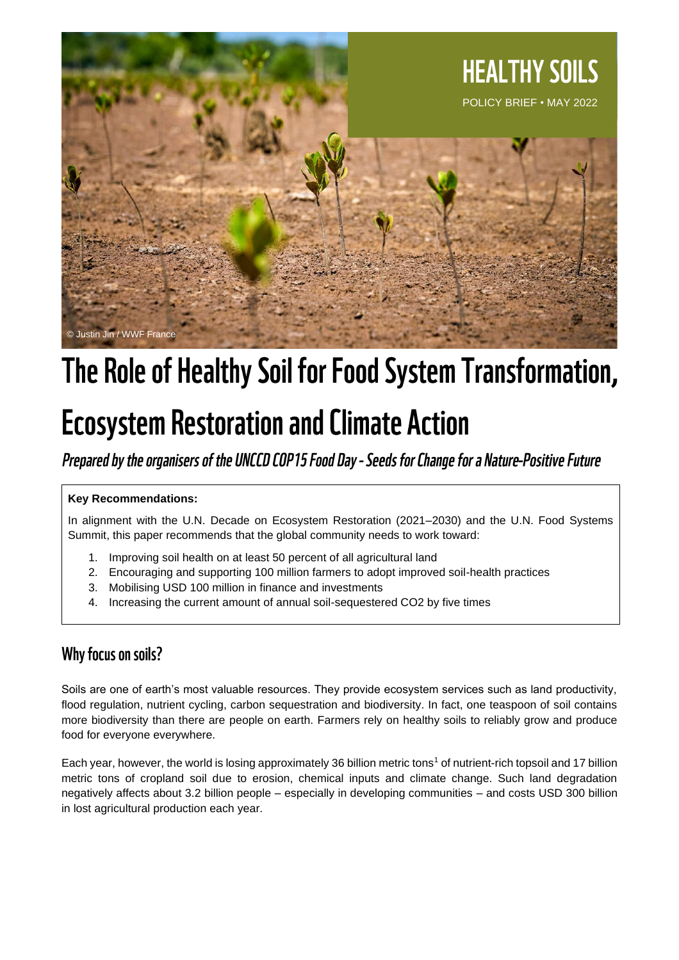

# The Role of Healthy Soil for Food System Transformation,

# **Ecosystem Restoration and Climate Action**

Prepared by the organisers of the UNCCD COP15 Food Day - Seeds for Change for a Nature-Positive Future

### **Key Recommendations:**

In alignment with the U.N. Decade on Ecosystem Restoration (2021–2030) and the U.N. Food Systems Summit, this paper recommends that the global community needs to work toward:

- 1. Improving soil health on at least 50 percent of all agricultural land
- 2. Encouraging and supporting 100 million farmers to adopt improved soil-health practices
- 3. Mobilising USD 100 million in finance and investments
- 4. Increasing the current amount of annual soil-sequestered CO2 by five times

## Why focus on soils?

Soils are one of earth's most valuable resources. They provide ecosystem services such as land productivity, flood regulation, nutrient cycling, carbon sequestration and biodiversity. In fact, one teaspoon of soil contains more biodiversity than there are people on earth. Farmers rely on healthy soils to reliably grow and produce food for everyone everywhere.

Each year, however, the world is losing approximately 36 billion metric tons<sup>1</sup> of nutrient-rich topsoil and 17 billion metric tons of cropland soil due to erosion, chemical inputs and climate change. Such land degradation negatively affects about 3.2 billion people – especially in developing communities – and costs USD 300 billion in lost agricultural production each year.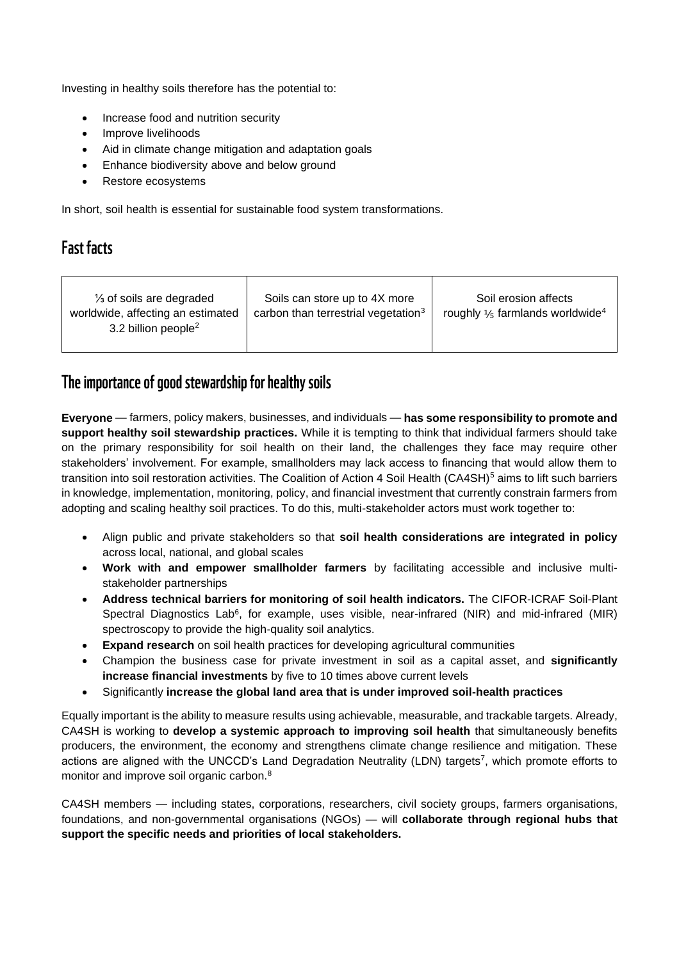Investing in healthy soils therefore has the potential to:

- Increase food and nutrition security
- Improve livelihoods
- Aid in climate change mitigation and adaptation goals
- Enhance biodiversity above and below ground
- Restore ecosystems

In short, soil health is essential for sustainable food system transformations.

## **Fast facts**

| $\frac{1}{3}$ of soils are degraded<br>worldwide, affecting an estimated<br>3.2 billion people <sup>2</sup> | Soils can store up to 4X more<br>carbon than terrestrial vegetation <sup>3</sup> | Soil erosion affects<br>roughly $\frac{1}{5}$ farmlands worldwide <sup>4</sup> |
|-------------------------------------------------------------------------------------------------------------|----------------------------------------------------------------------------------|--------------------------------------------------------------------------------|
|-------------------------------------------------------------------------------------------------------------|----------------------------------------------------------------------------------|--------------------------------------------------------------------------------|

### The importance of good stewardship for healthy soils

**Everyone** — farmers, policy makers, businesses, and individuals — **has some responsibility to promote and support healthy soil stewardship practices.** While it is tempting to think that individual farmers should take on the primary responsibility for soil health on their land, the challenges they face may require other stakeholders' involvement. For example, smallholders may lack access to financing that would allow them to transition into soil restoration activities. The Coalition of Action 4 Soil Health (CA4SH)<sup>5</sup> aims to lift such barriers in knowledge, implementation, monitoring, policy, and financial investment that currently constrain farmers from adopting and scaling healthy soil practices. To do this, multi-stakeholder actors must work together to:

- Align public and private stakeholders so that **soil health considerations are integrated in policy** across local, national, and global scales
- **Work with and empower smallholder farmers** by facilitating accessible and inclusive multistakeholder partnerships
- **Address technical barriers for monitoring of soil health indicators.** The CIFOR-ICRAF Soil-Plant Spectral Diagnostics Lab<sup>6</sup>, for example, uses visible, near-infrared (NIR) and mid-infrared (MIR) spectroscopy to provide the high-quality soil analytics.
- **Expand research** on soil health practices for developing agricultural communities
- Champion the business case for private investment in soil as a capital asset, and **significantly increase financial investments** by five to 10 times above current levels
- Significantly **increase the global land area that is under improved soil-health practices**

Equally important is the ability to measure results using achievable, measurable, and trackable targets. Already, CA4SH is working to **develop a systemic approach to improving soil health** that simultaneously benefits producers, the environment, the economy and strengthens climate change resilience and mitigation. These actions are aligned with the UNCCD's Land Degradation Neutrality (LDN) targets<sup>7</sup>, which promote efforts to monitor and improve soil organic carbon.<sup>8</sup>

CA4SH members — including states, corporations, researchers, civil society groups, farmers organisations, foundations, and non-governmental organisations (NGOs) — will **collaborate through regional hubs that support the specific needs and priorities of local stakeholders.**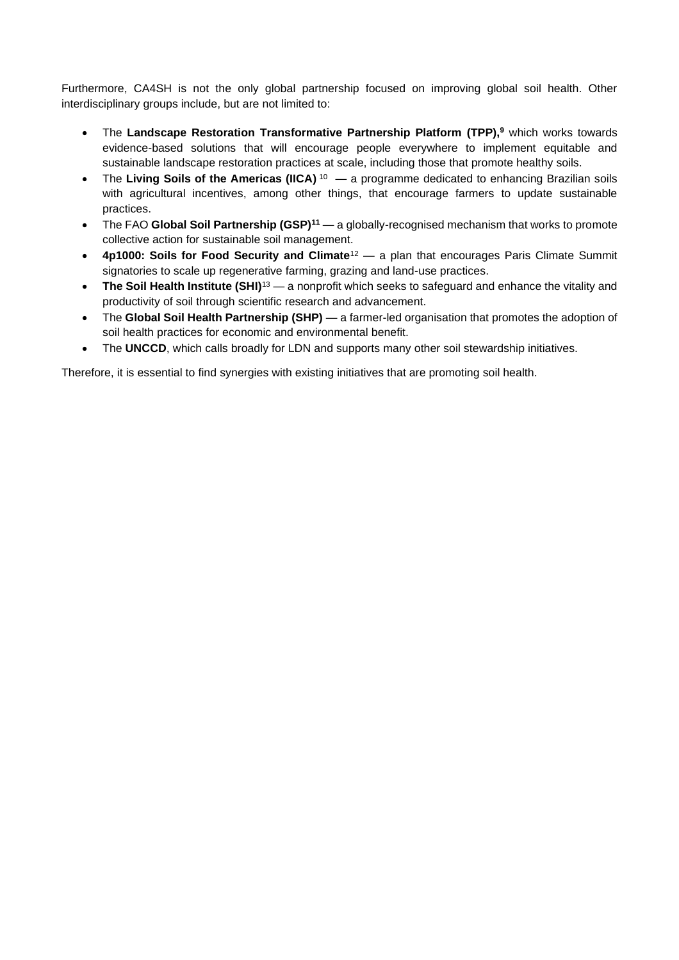Furthermore, CA4SH is not the only global partnership focused on improving global soil health. Other interdisciplinary groups include, but are not limited to:

- The **Landscape Restoration Transformative Partnership Platform (TPP),<sup>9</sup>** which works towards evidence-based solutions that will encourage people everywhere to implement equitable and sustainable landscape restoration practices at scale, including those that promote healthy soils.
- The Living Soils of the Americas (IICA)<sup>10</sup> a programme dedicated to enhancing Brazilian soils with agricultural incentives, among other things, that encourage farmers to update sustainable practices.
- The FAO **Global Soil Partnership (GSP)<sup>11</sup>** a globally-recognised mechanism that works to promote collective action for sustainable soil management.
- **4p1000: Soils for Food Security and Climate**<sup>12</sup> a plan that encourages Paris Climate Summit signatories to scale up regenerative farming, grazing and land-use practices.
- **The Soil Health Institute (SHI)**<sup>13</sup> a nonprofit which seeks to safeguard and enhance the vitality and productivity of soil through scientific research and advancement.
- The **Global Soil Health Partnership (SHP)** a farmer-led organisation that promotes the adoption of soil health practices for economic and environmental benefit.
- The **UNCCD**, which calls broadly for LDN and supports many other soil stewardship initiatives.

Therefore, it is essential to find synergies with existing initiatives that are promoting soil health.